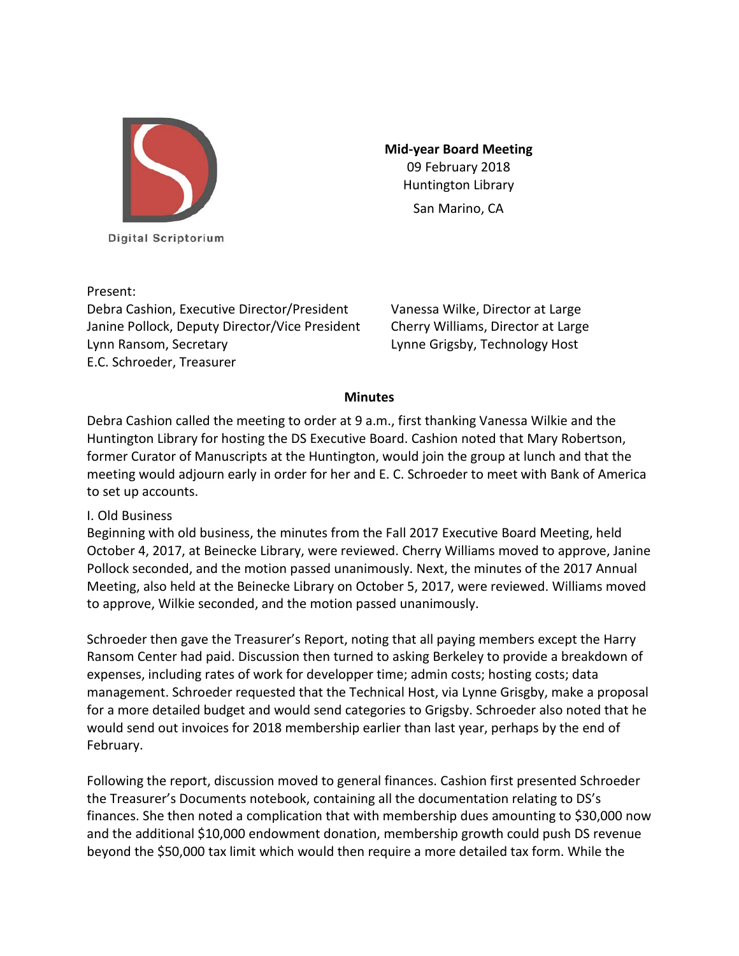

Digital Scriptorium

Present:

Debra Cashion, Executive Director/President Vanessa Wilke, Director at Large Janine Pollock, Deputy Director/Vice President Cherry Williams, Director at Large Lynn Ransom, Secretary Lynne Grigsby, Technology Host E.C. Schroeder, Treasurer

**Mid-year Board Meeting** 09 February 2018 Huntington Library San Marino, CA

## **Minutes**

Debra Cashion called the meeting to order at 9 a.m., first thanking Vanessa Wilkie and the Huntington Library for hosting the DS Executive Board. Cashion noted that Mary Robertson, former Curator of Manuscripts at the Huntington, would join the group at lunch and that the meeting would adjourn early in order for her and E. C. Schroeder to meet with Bank of America to set up accounts.

## I. Old Business

Beginning with old business, the minutes from the Fall 2017 Executive Board Meeting, held October 4, 2017, at Beinecke Library, were reviewed. Cherry Williams moved to approve, Janine Pollock seconded, and the motion passed unanimously. Next, the minutes of the 2017 Annual Meeting, also held at the Beinecke Library on October 5, 2017, were reviewed. Williams moved to approve, Wilkie seconded, and the motion passed unanimously.

Schroeder then gave the Treasurer's Report, noting that all paying members except the Harry Ransom Center had paid. Discussion then turned to asking Berkeley to provide a breakdown of expenses, including rates of work for developper time; admin costs; hosting costs; data management. Schroeder requested that the Technical Host, via Lynne Grisgby, make a proposal for a more detailed budget and would send categories to Grigsby. Schroeder also noted that he would send out invoices for 2018 membership earlier than last year, perhaps by the end of February.

Following the report, discussion moved to general finances. Cashion first presented Schroeder the Treasurer's Documents notebook, containing all the documentation relating to DS's finances. She then noted a complication that with membership dues amounting to \$30,000 now and the additional \$10,000 endowment donation, membership growth could push DS revenue beyond the \$50,000 tax limit which would then require a more detailed tax form. While the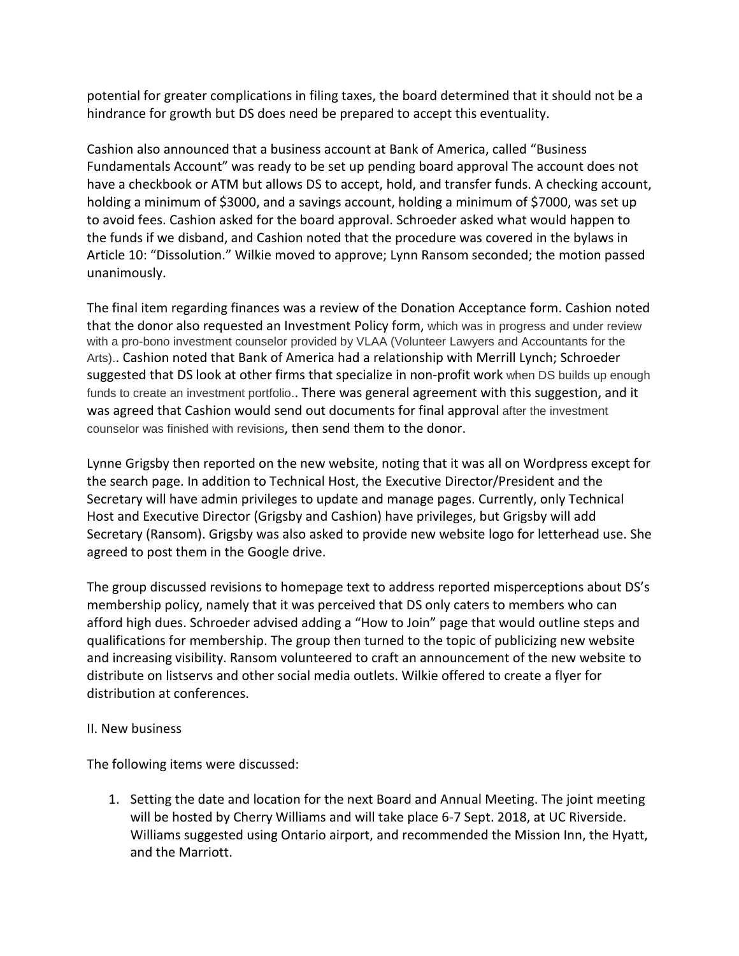potential for greater complications in filing taxes, the board determined that it should not be a hindrance for growth but DS does need be prepared to accept this eventuality.

Cashion also announced that a business account at Bank of America, called "Business Fundamentals Account" was ready to be set up pending board approval The account does not have a checkbook or ATM but allows DS to accept, hold, and transfer funds. A checking account, holding a minimum of \$3000, and a savings account, holding a minimum of \$7000, was set up to avoid fees. Cashion asked for the board approval. Schroeder asked what would happen to the funds if we disband, and Cashion noted that the procedure was covered in the bylaws in Article 10: "Dissolution." Wilkie moved to approve; Lynn Ransom seconded; the motion passed unanimously.

The final item regarding finances was a review of the Donation Acceptance form. Cashion noted that the donor also requested an Investment Policy form, which was in progress and under review with a pro-bono investment counselor provided by VLAA (Volunteer Lawyers and Accountants for the Arts).. Cashion noted that Bank of America had a relationship with Merrill Lynch; Schroeder suggested that DS look at other firms that specialize in non-profit work when DS builds up enough funds to create an investment portfolio.. There was general agreement with this suggestion, and it was agreed that Cashion would send out documents for final approval after the investment counselor was finished with revisions, then send them to the donor.

Lynne Grigsby then reported on the new website, noting that it was all on Wordpress except for the search page. In addition to Technical Host, the Executive Director/President and the Secretary will have admin privileges to update and manage pages. Currently, only Technical Host and Executive Director (Grigsby and Cashion) have privileges, but Grigsby will add Secretary (Ransom). Grigsby was also asked to provide new website logo for letterhead use. She agreed to post them in the Google drive.

The group discussed revisions to homepage text to address reported misperceptions about DS's membership policy, namely that it was perceived that DS only caters to members who can afford high dues. Schroeder advised adding a "How to Join" page that would outline steps and qualifications for membership. The group then turned to the topic of publicizing new website and increasing visibility. Ransom volunteered to craft an announcement of the new website to distribute on listservs and other social media outlets. Wilkie offered to create a flyer for distribution at conferences.

## II. New business

The following items were discussed:

1. Setting the date and location for the next Board and Annual Meeting. The joint meeting will be hosted by Cherry Williams and will take place 6-7 Sept. 2018, at UC Riverside. Williams suggested using Ontario airport, and recommended the Mission Inn, the Hyatt, and the Marriott.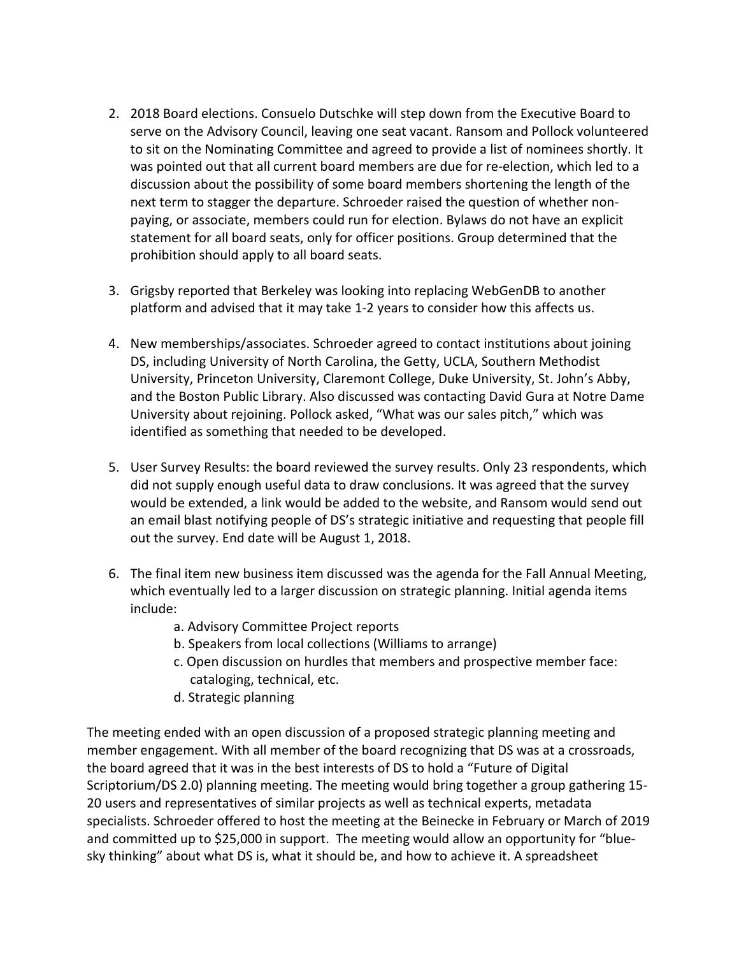- 2. 2018 Board elections. Consuelo Dutschke will step down from the Executive Board to serve on the Advisory Council, leaving one seat vacant. Ransom and Pollock volunteered to sit on the Nominating Committee and agreed to provide a list of nominees shortly. It was pointed out that all current board members are due for re-election, which led to a discussion about the possibility of some board members shortening the length of the next term to stagger the departure. Schroeder raised the question of whether nonpaying, or associate, members could run for election. Bylaws do not have an explicit statement for all board seats, only for officer positions. Group determined that the prohibition should apply to all board seats.
- 3. Grigsby reported that Berkeley was looking into replacing WebGenDB to another platform and advised that it may take 1-2 years to consider how this affects us.
- 4. New memberships/associates. Schroeder agreed to contact institutions about joining DS, including University of North Carolina, the Getty, UCLA, Southern Methodist University, Princeton University, Claremont College, Duke University, St. John's Abby, and the Boston Public Library. Also discussed was contacting David Gura at Notre Dame University about rejoining. Pollock asked, "What was our sales pitch," which was identified as something that needed to be developed.
- 5. User Survey Results: the board reviewed the survey results. Only 23 respondents, which did not supply enough useful data to draw conclusions. It was agreed that the survey would be extended, a link would be added to the website, and Ransom would send out an email blast notifying people of DS's strategic initiative and requesting that people fill out the survey. End date will be August 1, 2018.
- 6. The final item new business item discussed was the agenda for the Fall Annual Meeting, which eventually led to a larger discussion on strategic planning. Initial agenda items include:
	- a. Advisory Committee Project reports
	- b. Speakers from local collections (Williams to arrange)
	- c. Open discussion on hurdles that members and prospective member face: cataloging, technical, etc.
	- d. Strategic planning

The meeting ended with an open discussion of a proposed strategic planning meeting and member engagement. With all member of the board recognizing that DS was at a crossroads, the board agreed that it was in the best interests of DS to hold a "Future of Digital Scriptorium/DS 2.0) planning meeting. The meeting would bring together a group gathering 15- 20 users and representatives of similar projects as well as technical experts, metadata specialists. Schroeder offered to host the meeting at the Beinecke in February or March of 2019 and committed up to \$25,000 in support. The meeting would allow an opportunity for "bluesky thinking" about what DS is, what it should be, and how to achieve it. A spreadsheet